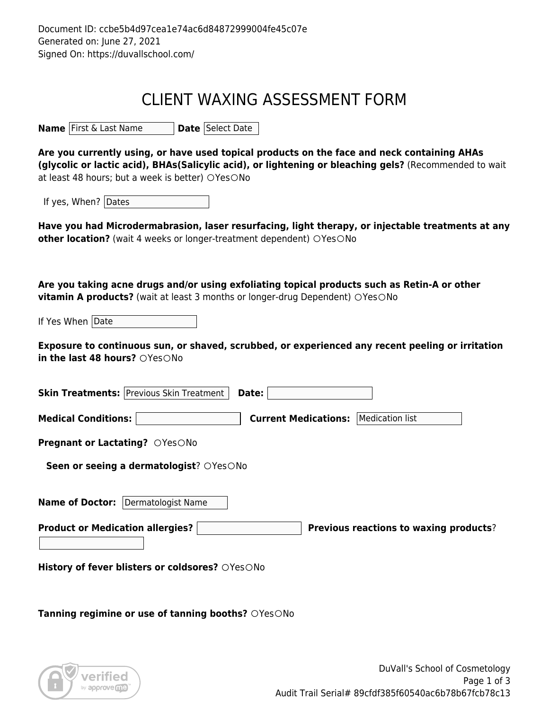## CLIENT WAXING ASSESSMENT FORM

**Name** First & Last Name **Date** Select Date

**Are you currently using, or have used topical products on the face and neck containing AHAs (glycolic or lactic acid), BHAs(Salicylic acid), or lightening or bleaching gels?** (Recommended to wait at least 48 hours; but a week is better)  $\bigcirc$ Yes $\bigcirc$ No

If yes, When? Dates

**Have you had Microdermabrasion, laser resurfacing, light therapy, or injectable treatments at any other location?** (wait 4 weeks or longer-treatment dependent) OYesONo

**Are you taking acne drugs and/or using exfoliating topical products such as Retin-A or other vitamin A products?** (wait at least 3 months or longer-drug Dependent) OYesONo

If Yes When Date

**Exposure to continuous sun, or shaved, scrubbed, or experienced any recent peeling or irritation in the last 48 hours?** OYes ONo

| <b>Skin Treatments: Previous Skin Treatment</b><br>Date:  |                                                |
|-----------------------------------------------------------|------------------------------------------------|
| <b>Medical Conditions:</b>                                | Medication list<br><b>Current Medications:</b> |
| <b>Pregnant or Lactating?</b> OYesONo                     |                                                |
| Seen or seeing a dermatologist? OYesONo                   |                                                |
| <b>Name of Doctor:</b><br>Dermatologist Name              |                                                |
| <b>Product or Medication allergies?</b>                   | <b>Previous reactions to waxing products?</b>  |
| History of fever blisters or coldsores? OYesONo           |                                                |
| <b>Tanning regimine or use of tanning booths?</b> OYesONo |                                                |
|                                                           |                                                |

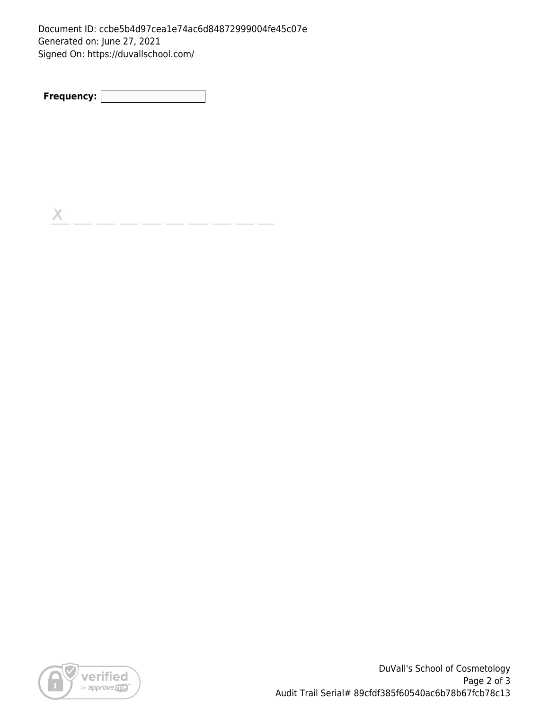Document ID: ccbe5b4d97cea1e74ac6d84872999004fe45c07e Generated on: June 27, 2021 Signed On: https://duvallschool.com/

**Frequency:**

 $\mathsf{X}% _{\mathsf{X}}^{\prime}=\mathsf{X}_{\mathsf{X}}^{\prime}$ 



DuVall's School of Cosmetology Page 2 of 3 Audit Trail Serial# 89cfdf385f60540ac6b78b67fcb78c13